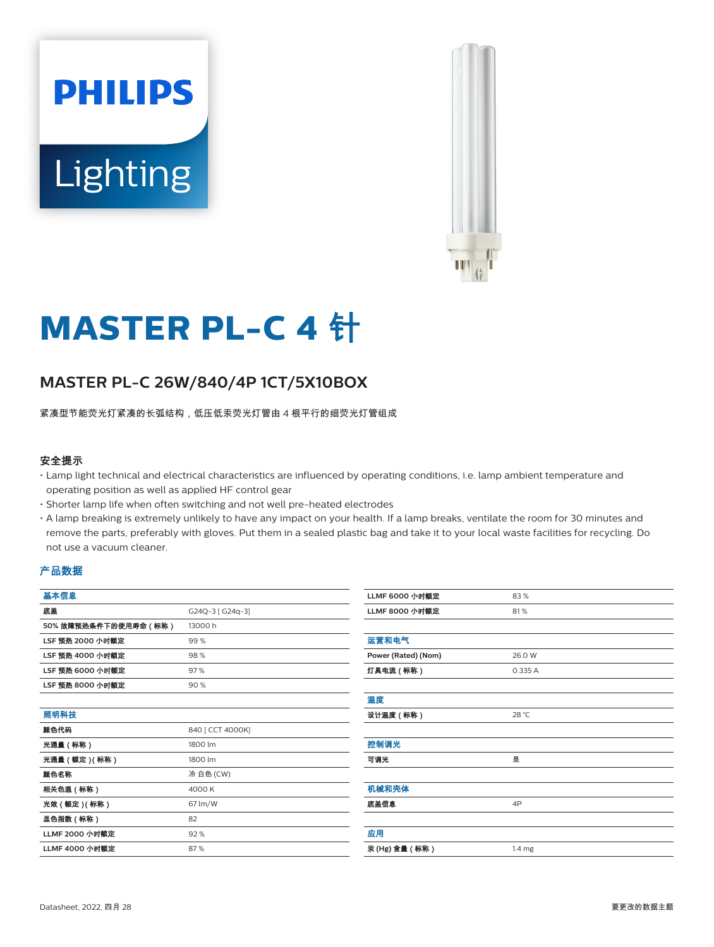



# **MASTER PL-C 4** 针

# **MASTER PL-C 26W/840/4P 1CT/5X10BOX**

紧凑型节能荧光灯紧凑的长弧结构,低压低汞荧光灯管由 4 根平行的细荧光灯管组成

#### 安全提示

- Lamp light technical and electrical characteristics are influenced by operating conditions, i.e. lamp ambient temperature and operating position as well as applied HF control gear
- Shorter lamp life when often switching and not well pre-heated electrodes
- A lamp breaking is extremely unlikely to have any impact on your health. If a lamp breaks, ventilate the room for 30 minutes and remove the parts, preferably with gloves. Put them in a sealed plastic bag and take it to your local waste facilities for recycling. Do not use a vacuum cleaner.

#### 产品数据

| 基本信息                    |                  | <b>LLMF 6000</b> |
|-------------------------|------------------|------------------|
| 底盖                      | G24Q-3 [ G24q-3] | <b>LLMF 8000</b> |
| 50%故障预热条件下的使用寿命(标称)     | 13000 h          |                  |
| LSF 预热 2000 小时额定        | 99%              | 运营和电气            |
| LSF 预热 4000 小时额定        | 98%              | Power (Rate      |
| LSF 预热 6000 小时额定        | 97%              | 灯具电流 ( 杨         |
| <b>LSF 预热 8000 小时额定</b> | 90%              |                  |
|                         |                  | 温度               |
| 照明科技                    |                  | 设计温度(柯           |
| 颜色代码                    | 840 [ CCT 4000K] |                  |
| 光通量(标称)                 | 1800 lm          | 控制调光             |
| 光通量 (额定) (标称)           | 1800 lm          | 可调光              |
| 颜色名称                    | 冷 白色 (CW)        |                  |
| 相关色温(标称)                | 4000 K           | 机械和壳体            |
| 光效 (额定) (标称)            | 67 lm/W          | 底盖信息             |
| 显色指数(标称)                | 82               |                  |
| LLMF 2000 小时额定          | 92%              | 应用               |
| LLMF 4000 小时额定          | 87%              | 汞 (Hg) 含量        |

| <b>LLMF 6000 小时额定</b> | 83%               |
|-----------------------|-------------------|
| <b>LLMF 8000 小时额定</b> | 81%               |
|                       |                   |
| 运营和电气                 |                   |
| Power (Rated) (Nom)   | 26.0 W            |
| 灯具电流 (标称)             | 0.335 A           |
|                       |                   |
| 温度                    |                   |
| 设计温度(标称)              | 28 °C             |
|                       |                   |
| 控制调光                  |                   |
| 可调光                   | 是                 |
|                       |                   |
| 机械和壳体                 |                   |
| 底盖信息                  | 4P                |
|                       |                   |
| 应用                    |                   |
| 汞 (Hg) 含量 (标称)        | 1.4 <sub>mg</sub> |
|                       |                   |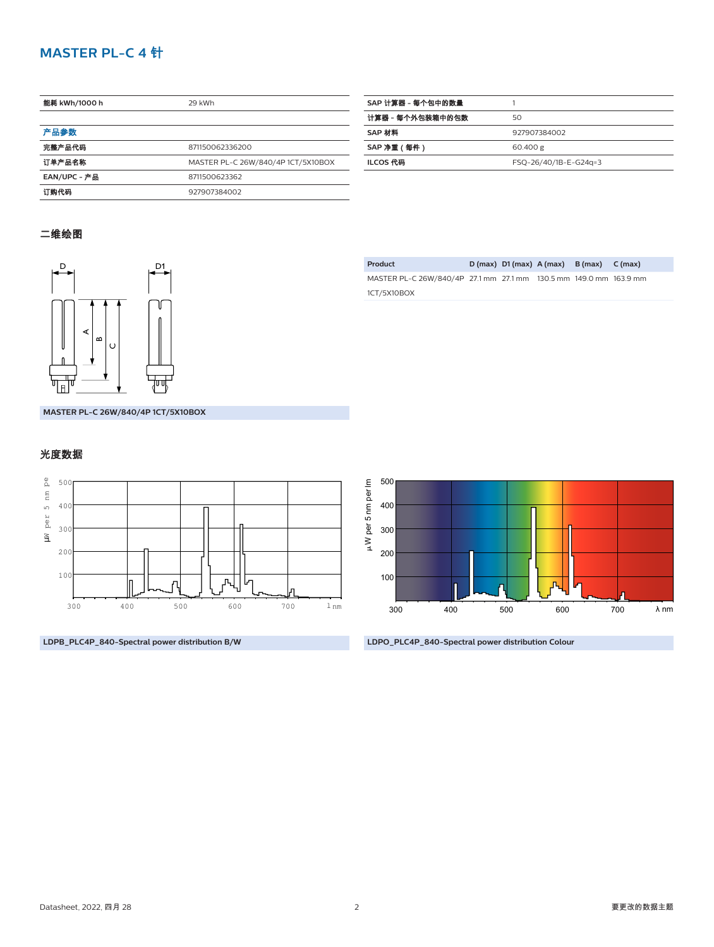## **MASTER PL-C 4** 针

| 能耗 kWh/1000 h | 29 kWh                             |  |  |
|---------------|------------------------------------|--|--|
|               |                                    |  |  |
| 产品参数          |                                    |  |  |
| 完整产品代码        | 871150062336200                    |  |  |
| 订单产品名称        | MASTER PL-C 26W/840/4P 1CT/5X10BOX |  |  |
| EAN/UPC - 产品  | 8711500623362                      |  |  |
| 订购代码          | 927907384002                       |  |  |

| SAP 计算器 - 每个包中的数量 |                       |
|-------------------|-----------------------|
| 计算器 - 每个外包装箱中的包数  | 50                    |
| SAP 材料            | 927907384002          |
| SAP 净重 (每件)       | 60.400 g              |
| ILCOS 代码          | FSQ-26/40/1B-E-G24g=3 |
|                   |                       |

### 二维绘图



**Product D (max) D1 (max) A (max) B (max) C (max)** MASTER PL-C 26W/840/4P 27.1 mm 27.1 mm 130.5 mm 149.0 mm 163.9 mm 1CT/5X10BOX

**MASTER PL-C 26W/840/4P 1CT/5X10BOX**

#### 光度数据



**LDPB\_PLC4P\_840-Spectral power distribution B/W**



**LDPO\_PLC4P\_840-Spectral power distribution Colour**